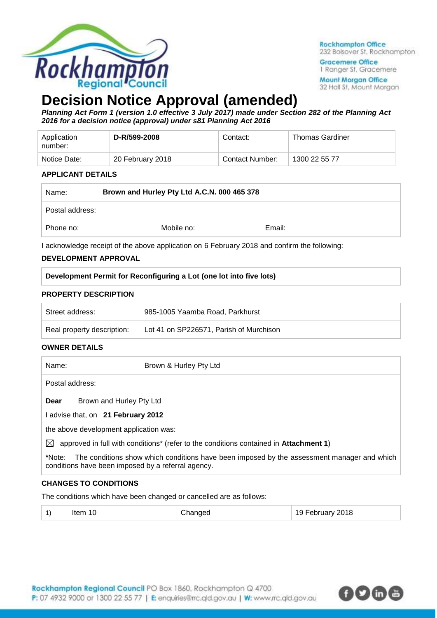

**Rockhampton Office** 232 Bolsover St, Rockhampton

**Gracemere Office** 1 Ranger St. Gracemere

**Mount Morgan Office** 32 Hall St, Mount Morgan

# **Decision Notice Approval (amended)**

*Planning Act Form 1 (version 1.0 effective 3 July 2017) made under Section 282 of the Planning Act 2016 for a decision notice (approval) under s81 Planning Act 2016*

| Application<br>number: | D-R/599-2008     | Contact:        | <b>Thomas Gardiner</b> |
|------------------------|------------------|-----------------|------------------------|
| Notice Date:           | 20 February 2018 | Contact Number: | 1300 22 55 77          |

### **APPLICANT DETAILS**

| Name:           | Brown and Hurley Pty Ltd A.C.N. 000 465 378 |        |
|-----------------|---------------------------------------------|--------|
| Postal address: |                                             |        |
| Phone no:       | Mobile no:                                  | Email: |

I acknowledge receipt of the above application on 6 February 2018 and confirm the following:

## **DEVELOPMENT APPROVAL**

| Development Permit for Reconfiguring a Lot (one lot into five lots) |  |
|---------------------------------------------------------------------|--|

## **PROPERTY DESCRIPTION**

| Street address:            | 985-1005 Yaamba Road, Parkhurst         |
|----------------------------|-----------------------------------------|
| Real property description: | Lot 41 on SP226571, Parish of Murchison |

### **OWNER DETAILS**

| Name:           | Brown & Hurley Pty Ltd                                                                                                                           |
|-----------------|--------------------------------------------------------------------------------------------------------------------------------------------------|
| Postal address: |                                                                                                                                                  |
| Dear            | Brown and Hurley Pty Ltd                                                                                                                         |
|                 | advise that, on 21 February 2012                                                                                                                 |
|                 | the above development application was:                                                                                                           |
| $\bowtie$       | approved in full with conditions* (refer to the conditions contained in Attachment 1)                                                            |
| *Note:          | The conditions show which conditions have been imposed by the assessment manager and which<br>conditions have been imposed by a referral agency. |

## **CHANGES TO CONDITIONS**

The conditions which have been changed or cancelled are as follows:

| 19 February 2018<br>$\left( \begin{array}{c} 1 \end{array} \right)$<br>ltem 10<br>Changed |  |
|-------------------------------------------------------------------------------------------|--|
|-------------------------------------------------------------------------------------------|--|

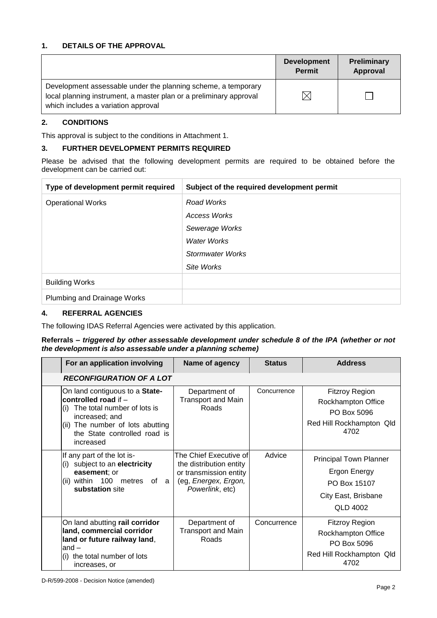## **1. DETAILS OF THE APPROVAL**

|                                                                                                                                                                            | <b>Development</b><br><b>Permit</b> | <b>Preliminary</b><br>Approval |
|----------------------------------------------------------------------------------------------------------------------------------------------------------------------------|-------------------------------------|--------------------------------|
| Development assessable under the planning scheme, a temporary<br>local planning instrument, a master plan or a preliminary approval<br>which includes a variation approval |                                     |                                |

### **2. CONDITIONS**

This approval is subject to the conditions in Attachment 1.

### **3. FURTHER DEVELOPMENT PERMITS REQUIRED**

Please be advised that the following development permits are required to be obtained before the development can be carried out:

| Type of development permit required | Subject of the required development permit |
|-------------------------------------|--------------------------------------------|
| <b>Operational Works</b>            | Road Works                                 |
|                                     | Access Works                               |
|                                     | Sewerage Works                             |
|                                     | <b>Water Works</b>                         |
|                                     | Stormwater Works                           |
|                                     | Site Works                                 |
| <b>Building Works</b>               |                                            |
| Plumbing and Drainage Works         |                                            |

## **4. REFERRAL AGENCIES**

The following IDAS Referral Agencies were activated by this application.

#### **Referrals** *– triggered by other assessable development under schedule 8 of the IPA (whether or not the development is also assessable under a planning scheme)*

| For an application involving                                                                                                                                                                    | Name of agency                                                                                                         | <b>Status</b> | <b>Address</b>                                                                                          |
|-------------------------------------------------------------------------------------------------------------------------------------------------------------------------------------------------|------------------------------------------------------------------------------------------------------------------------|---------------|---------------------------------------------------------------------------------------------------------|
| <b>RECONFIGURATION OF A LOT</b>                                                                                                                                                                 |                                                                                                                        |               |                                                                                                         |
| On land contiguous to a <b>State-</b><br>controlled road if -<br>The total number of lots is<br>increased; and<br>(ii) The number of lots abutting<br>the State controlled road is<br>increased | Department of<br><b>Transport and Main</b><br>Roads                                                                    | Concurrence   | <b>Fitzroy Region</b><br>Rockhampton Office<br>PO Box 5096<br>Red Hill Rockhampton Qld<br>4702          |
| If any part of the lot is-<br>subject to an electricity<br>(i)<br>easement; or<br>(ii) within 100<br>metres of a<br>substation site                                                             | The Chief Executive of<br>the distribution entity<br>or transmission entity<br>(eg, Energex, Ergon,<br>Powerlink, etc) | Advice        | <b>Principal Town Planner</b><br><b>Ergon Energy</b><br>PO Box 15107<br>City East, Brisbane<br>QLD 4002 |
| On land abutting rail corridor<br>land, commercial corridor<br>land or future railway land,<br>$and -$<br>the total number of lots<br>increases, or                                             | Department of<br>Transport and Main<br>Roads                                                                           | Concurrence   | <b>Fitzroy Region</b><br>Rockhampton Office<br>PO Box 5096<br>Red Hill Rockhampton Qld<br>4702          |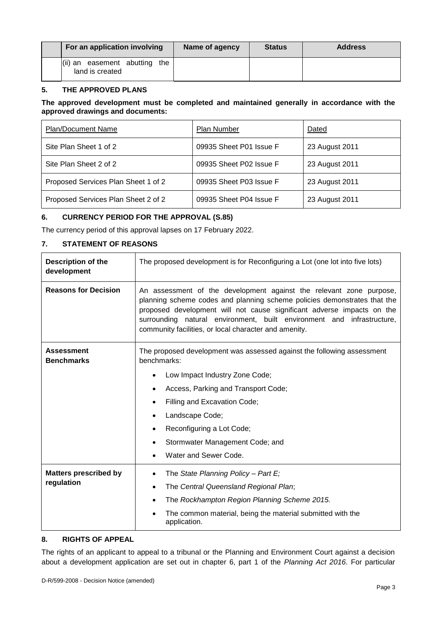| For an application involving                        | Name of agency | <b>Status</b> | <b>Address</b> |
|-----------------------------------------------------|----------------|---------------|----------------|
| (ii) an easement abutting<br>the<br>land is created |                |               |                |

## **5. THE APPROVED PLANS**

#### **The approved development must be completed and maintained generally in accordance with the approved drawings and documents:**

| <b>Plan/Document Name</b>           | <b>Plan Number</b>      | Dated          |
|-------------------------------------|-------------------------|----------------|
| Site Plan Sheet 1 of 2              | 09935 Sheet P01 Issue F | 23 August 2011 |
| Site Plan Sheet 2 of 2              | 09935 Sheet P02 Issue F | 23 August 2011 |
| Proposed Services Plan Sheet 1 of 2 | 09935 Sheet P03 Issue F | 23 August 2011 |
| Proposed Services Plan Sheet 2 of 2 | 09935 Sheet P04 Issue F | 23 August 2011 |

## **6. CURRENCY PERIOD FOR THE APPROVAL (S.85)**

The currency period of this approval lapses on 17 February 2022.

### **7. STATEMENT OF REASONS**

| <b>Description of the</b><br>development | The proposed development is for Reconfiguring a Lot (one lot into five lots)                                                                                                                                                                                                                                                                                 |  |
|------------------------------------------|--------------------------------------------------------------------------------------------------------------------------------------------------------------------------------------------------------------------------------------------------------------------------------------------------------------------------------------------------------------|--|
| <b>Reasons for Decision</b>              | An assessment of the development against the relevant zone purpose,<br>planning scheme codes and planning scheme policies demonstrates that the<br>proposed development will not cause significant adverse impacts on the<br>surrounding natural environment, built environment and infrastructure,<br>community facilities, or local character and amenity. |  |
| <b>Assessment</b><br><b>Benchmarks</b>   | The proposed development was assessed against the following assessment<br>benchmarks:                                                                                                                                                                                                                                                                        |  |
|                                          | Low Impact Industry Zone Code;                                                                                                                                                                                                                                                                                                                               |  |
|                                          | Access, Parking and Transport Code;<br>$\bullet$                                                                                                                                                                                                                                                                                                             |  |
|                                          | Filling and Excavation Code;                                                                                                                                                                                                                                                                                                                                 |  |
|                                          | Landscape Code;<br>$\bullet$                                                                                                                                                                                                                                                                                                                                 |  |
|                                          | Reconfiguring a Lot Code;                                                                                                                                                                                                                                                                                                                                    |  |
|                                          | Stormwater Management Code; and                                                                                                                                                                                                                                                                                                                              |  |
|                                          | Water and Sewer Code.                                                                                                                                                                                                                                                                                                                                        |  |
| <b>Matters prescribed by</b>             | The State Planning Policy - Part E;<br>$\bullet$                                                                                                                                                                                                                                                                                                             |  |
| regulation                               | The Central Queensland Regional Plan;<br>$\bullet$                                                                                                                                                                                                                                                                                                           |  |
|                                          | The Rockhampton Region Planning Scheme 2015.<br>$\bullet$                                                                                                                                                                                                                                                                                                    |  |
|                                          | The common material, being the material submitted with the<br>application.                                                                                                                                                                                                                                                                                   |  |

### **8. RIGHTS OF APPEAL**

The rights of an applicant to appeal to a tribunal or the Planning and Environment Court against a decision about a development application are set out in chapter 6, part 1 of the *Planning Act 2016*. For particular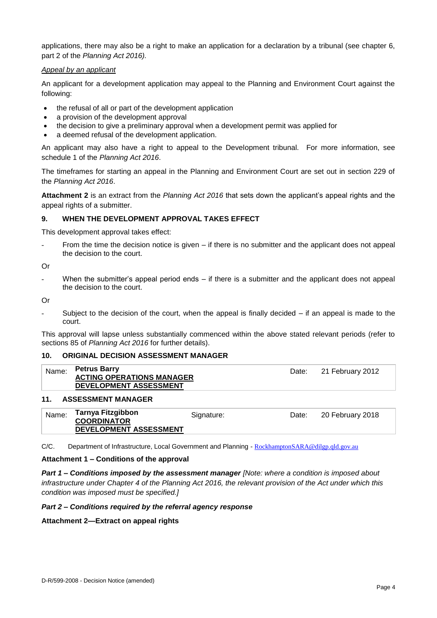applications, there may also be a right to make an application for a declaration by a tribunal (see chapter 6, part 2 of the *Planning Act 2016).*

#### *Appeal by an applicant*

An applicant for a development application may appeal to the Planning and Environment Court against the following:

- the refusal of all or part of the development application
- a provision of the development approval
- the decision to give a preliminary approval when a development permit was applied for
- a deemed refusal of the development application.

An applicant may also have a right to appeal to the Development tribunal. For more information, see schedule 1 of the *Planning Act 2016*.

The timeframes for starting an appeal in the Planning and Environment Court are set out in section 229 of the *Planning Act 2016*.

**Attachment 2** is an extract from the *Planning Act 2016* that sets down the applicant's appeal rights and the appeal rights of a submitter.

### **9. WHEN THE DEVELOPMENT APPROVAL TAKES EFFECT**

This development approval takes effect:

From the time the decision notice is given – if there is no submitter and the applicant does not appeal the decision to the court.

Or

When the submitter's appeal period ends  $-$  if there is a submitter and the applicant does not appeal the decision to the court.

Or

Subject to the decision of the court, when the appeal is finally decided  $-$  if an appeal is made to the court.

This approval will lapse unless substantially commenced within the above stated relevant periods (refer to sections 85 of *Planning Act 2016* for further details).

#### **10. ORIGINAL DECISION ASSESSMENT MANAGER**

| Name: | <b>Petrus Barry</b><br><b>ACTING OPERATIONS MANAGER</b><br>DEVELOPMENT ASSESSMENT | Date: 21 February 2012 |
|-------|-----------------------------------------------------------------------------------|------------------------|
| 11    | <b>ASSESSMENT MANAGER</b>                                                         |                        |

#### **11. ASSESSMENT MANAGER**

| Name: | Tarnya Fitzgibbon<br><b>COORDINATOR</b><br><b>DEVELOPMENT ASSESSMENT</b> | Signature: | Date: | 20 February 2018 |
|-------|--------------------------------------------------------------------------|------------|-------|------------------|
|-------|--------------------------------------------------------------------------|------------|-------|------------------|

C/C. Department of Infrastructure, Local Government and Planning - [RockhamptonSARA@dilgp.qld.gov.au](mailto:RockhamptonSARA@dilgp.qld.gov.au)

#### **Attachment 1 – Conditions of the approval**

*Part 1* **–** *Conditions imposed by the assessment manager [Note: where a condition is imposed about infrastructure under Chapter 4 of the Planning Act 2016, the relevant provision of the Act under which this condition was imposed must be specified.]*

#### *Part 2 – Conditions required by the referral agency response*

**Attachment 2—Extract on appeal rights**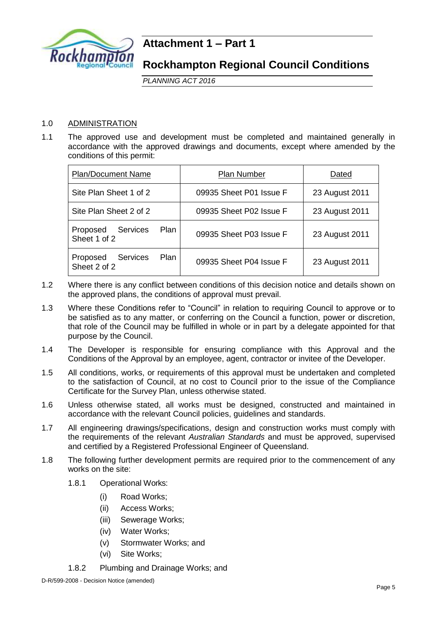

**Rockhampton Regional Council Conditions**

*PLANNING ACT 2016*

## 1.0 ADMINISTRATION

1.1 The approved use and development must be completed and maintained generally in accordance with the approved drawings and documents, except where amended by the conditions of this permit:

| <b>Plan/Document Name</b>                                  | <b>Plan Number</b>      | Dated          |
|------------------------------------------------------------|-------------------------|----------------|
| Site Plan Sheet 1 of 2                                     | 09935 Sheet P01 Issue F | 23 August 2011 |
| Site Plan Sheet 2 of 2                                     | 09935 Sheet P02 Issue F | 23 August 2011 |
| <b>Services</b><br>Plan<br>Proposed<br>Sheet 1 of 2        | 09935 Sheet P03 Issue F | 23 August 2011 |
| <b>Services</b><br><b>Plan</b><br>Proposed<br>Sheet 2 of 2 | 09935 Sheet P04 Issue F | 23 August 2011 |

- 1.2 Where there is any conflict between conditions of this decision notice and details shown on the approved plans, the conditions of approval must prevail.
- 1.3 Where these Conditions refer to "Council" in relation to requiring Council to approve or to be satisfied as to any matter, or conferring on the Council a function, power or discretion, that role of the Council may be fulfilled in whole or in part by a delegate appointed for that purpose by the Council.
- 1.4 The Developer is responsible for ensuring compliance with this Approval and the Conditions of the Approval by an employee, agent, contractor or invitee of the Developer.
- 1.5 All conditions, works, or requirements of this approval must be undertaken and completed to the satisfaction of Council, at no cost to Council prior to the issue of the Compliance Certificate for the Survey Plan, unless otherwise stated.
- 1.6 Unless otherwise stated, all works must be designed, constructed and maintained in accordance with the relevant Council policies, guidelines and standards.
- 1.7 All engineering drawings/specifications, design and construction works must comply with the requirements of the relevant *Australian Standards* and must be approved, supervised and certified by a Registered Professional Engineer of Queensland.
- 1.8 The following further development permits are required prior to the commencement of any works on the site:
	- 1.8.1 Operational Works:
		- (i) Road Works;
		- (ii) Access Works;
		- (iii) Sewerage Works;
		- (iv) Water Works;
		- (v) Stormwater Works; and
		- (vi) Site Works;
	- 1.8.2 Plumbing and Drainage Works; and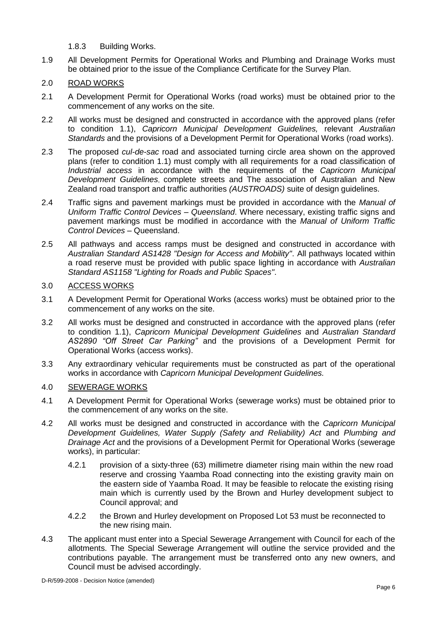1.8.3 Building Works.

1.9 All Development Permits for Operational Works and Plumbing and Drainage Works must be obtained prior to the issue of the Compliance Certificate for the Survey Plan.

## 2.0 ROAD WORKS

- 2.1 A Development Permit for Operational Works (road works) must be obtained prior to the commencement of any works on the site.
- 2.2 All works must be designed and constructed in accordance with the approved plans (refer to condition 1.1), *Capricorn Municipal Development Guidelines,* relevant *Australian Standards* and the provisions of a Development Permit for Operational Works (road works).
- 2.3 The proposed *cul-de-sac* road and associated turning circle area shown on the approved plans (refer to condition 1.1) must comply with all requirements for a road classification of *Industrial access* in accordance with the requirements of the *Capricorn Municipal Development Guidelines*, complete streets and The association of Australian and New Zealand road transport and traffic authorities *(AUSTROADS)* suite of design guidelines.
- 2.4 Traffic signs and pavement markings must be provided in accordance with the *Manual of Uniform Traffic Control Devices – Queensland*. Where necessary, existing traffic signs and pavement markings must be modified in accordance with the *Manual of Uniform Traffic Control Devices –* Queensland.
- 2.5 All pathways and access ramps must be designed and constructed in accordance with *Australian Standard AS1428 "Design for Access and Mobility"*. All pathways located within a road reserve must be provided with public space lighting in accordance with *Australian Standard AS1158 "Lighting for Roads and Public Spaces"*.

## 3.0 ACCESS WORKS

- 3.1 A Development Permit for Operational Works (access works) must be obtained prior to the commencement of any works on the site.
- 3.2 All works must be designed and constructed in accordance with the approved plans (refer to condition 1.1), *Capricorn Municipal Development Guidelines* and *Australian Standard AS2890 "Off Street Car Parking"* and the provisions of a Development Permit for Operational Works (access works).
- 3.3 Any extraordinary vehicular requirements must be constructed as part of the operational works in accordance with *Capricorn Municipal Development Guidelines.*

## 4.0 SEWERAGE WORKS

- 4.1 A Development Permit for Operational Works (sewerage works) must be obtained prior to the commencement of any works on the site.
- 4.2 All works must be designed and constructed in accordance with the *Capricorn Municipal Development Guidelines, Water Supply (Safety and Reliability) Act* and *Plumbing and Drainage Act* and the provisions of a Development Permit for Operational Works (sewerage works), in particular:
	- 4.2.1 provision of a sixty-three (63) millimetre diameter rising main within the new road reserve and crossing Yaamba Road connecting into the existing gravity main on the eastern side of Yaamba Road. It may be feasible to relocate the existing rising main which is currently used by the Brown and Hurley development subject to Council approval; and
	- 4.2.2 the Brown and Hurley development on Proposed Lot 53 must be reconnected to the new rising main.
- 4.3 The applicant must enter into a Special Sewerage Arrangement with Council for each of the allotments. The Special Sewerage Arrangement will outline the service provided and the contributions payable. The arrangement must be transferred onto any new owners, and Council must be advised accordingly.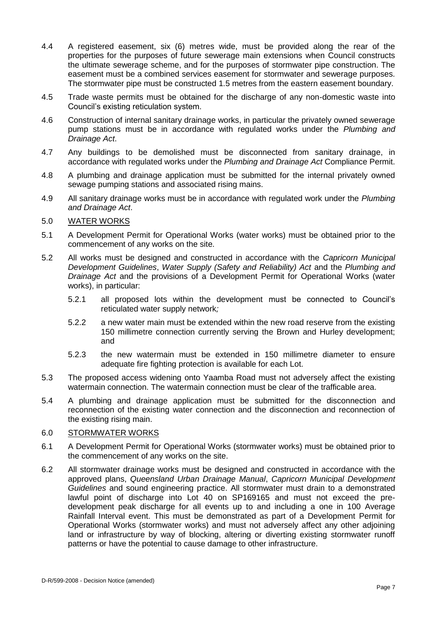- 4.4 A registered easement, six (6) metres wide, must be provided along the rear of the properties for the purposes of future sewerage main extensions when Council constructs the ultimate sewerage scheme, and for the purposes of stormwater pipe construction. The easement must be a combined services easement for stormwater and sewerage purposes. The stormwater pipe must be constructed 1.5 metres from the eastern easement boundary.
- 4.5 Trade waste permits must be obtained for the discharge of any non-domestic waste into Council's existing reticulation system.
- 4.6 Construction of internal sanitary drainage works, in particular the privately owned sewerage pump stations must be in accordance with regulated works under the *Plumbing and Drainage Act*.
- 4.7 Any buildings to be demolished must be disconnected from sanitary drainage, in accordance with regulated works under the *Plumbing and Drainage Act* Compliance Permit.
- 4.8 A plumbing and drainage application must be submitted for the internal privately owned sewage pumping stations and associated rising mains.
- 4.9 All sanitary drainage works must be in accordance with regulated work under the *Plumbing and Drainage Act*.
- 5.0 WATER WORKS
- 5.1 A Development Permit for Operational Works (water works) must be obtained prior to the commencement of any works on the site.
- 5.2 All works must be designed and constructed in accordance with the *Capricorn Municipal Development Guidelines*, *Water Supply (Safety and Reliability) Act* and the *Plumbing and Drainage Act* and the provisions of a Development Permit for Operational Works (water works), in particular:
	- 5.2.1 all proposed lots within the development must be connected to Council's reticulated water supply network*;*
	- 5.2.2 a new water main must be extended within the new road reserve from the existing 150 millimetre connection currently serving the Brown and Hurley development; and
	- 5.2.3 the new watermain must be extended in 150 millimetre diameter to ensure adequate fire fighting protection is available for each Lot.
- 5.3 The proposed access widening onto Yaamba Road must not adversely affect the existing watermain connection. The watermain connection must be clear of the trafficable area.
- 5.4 A plumbing and drainage application must be submitted for the disconnection and reconnection of the existing water connection and the disconnection and reconnection of the existing rising main.

### 6.0 STORMWATER WORKS

- 6.1 A Development Permit for Operational Works (stormwater works) must be obtained prior to the commencement of any works on the site.
- 6.2 All stormwater drainage works must be designed and constructed in accordance with the approved plans, *Queensland Urban Drainage Manual*, *Capricorn Municipal Development Guidelines* and sound engineering practice. All stormwater must drain to a demonstrated lawful point of discharge into Lot 40 on SP169165 and must not exceed the predevelopment peak discharge for all events up to and including a one in 100 Average Rainfall Interval event. This must be demonstrated as part of a Development Permit for Operational Works (stormwater works) and must not adversely affect any other adjoining land or infrastructure by way of blocking, altering or diverting existing stormwater runoff patterns or have the potential to cause damage to other infrastructure.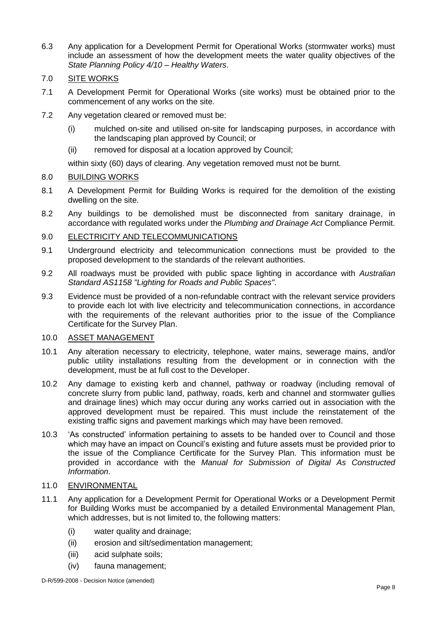- 6.3 Any application for a Development Permit for Operational Works (stormwater works) must include an assessment of how the development meets the water quality objectives of the *State Planning Policy 4/10 – Healthy Waters*.
- 7.0 SITE WORKS
- 7.1 A Development Permit for Operational Works (site works) must be obtained prior to the commencement of any works on the site.
- 7.2 Any vegetation cleared or removed must be:
	- (i) mulched on-site and utilised on-site for landscaping purposes, in accordance with the landscaping plan approved by Council; or
	- (ii) removed for disposal at a location approved by Council;

within sixty (60) days of clearing. Any vegetation removed must not be burnt.

## 8.0 BUILDING WORKS

- 8.1 A Development Permit for Building Works is required for the demolition of the existing dwelling on the site.
- 8.2 Any buildings to be demolished must be disconnected from sanitary drainage, in accordance with regulated works under the *Plumbing and Drainage Act* Compliance Permit.

## 9.0 ELECTRICITY AND TELECOMMUNICATIONS

- 9.1 Underground electricity and telecommunication connections must be provided to the proposed development to the standards of the relevant authorities.
- 9.2 All roadways must be provided with public space lighting in accordance with *Australian Standard AS1158 "Lighting for Roads and Public Spaces"*.
- 9.3 Evidence must be provided of a non-refundable contract with the relevant service providers to provide each lot with live electricity and telecommunication connections, in accordance with the requirements of the relevant authorities prior to the issue of the Compliance Certificate for the Survey Plan.

### 10.0 ASSET MANAGEMENT

- 10.1 Any alteration necessary to electricity, telephone, water mains, sewerage mains, and/or public utility installations resulting from the development or in connection with the development, must be at full cost to the Developer.
- 10.2 Any damage to existing kerb and channel, pathway or roadway (including removal of concrete slurry from public land, pathway, roads, kerb and channel and stormwater gullies and drainage lines) which may occur during any works carried out in association with the approved development must be repaired. This must include the reinstatement of the existing traffic signs and pavement markings which may have been removed.
- 10.3 'As constructed' information pertaining to assets to be handed over to Council and those which may have an impact on Council's existing and future assets must be provided prior to the issue of the Compliance Certificate for the Survey Plan. This information must be provided in accordance with the *Manual for Submission of Digital As Constructed Information*.

## 11.0 ENVIRONMENTAL

- 11.1 Any application for a Development Permit for Operational Works or a Development Permit for Building Works must be accompanied by a detailed Environmental Management Plan, which addresses, but is not limited to, the following matters:
	- (i) water quality and drainage;
	- (ii) erosion and silt/sedimentation management;
	- (iii) acid sulphate soils;
	- (iv) fauna management;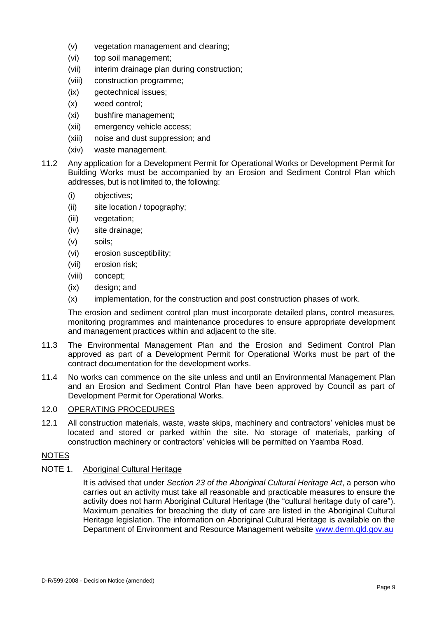- (v) vegetation management and clearing;
- (vi) top soil management;
- (vii) interim drainage plan during construction;
- (viii) construction programme;
- (ix) geotechnical issues;
- (x) weed control;
- (xi) bushfire management;
- (xii) emergency vehicle access;
- (xiii) noise and dust suppression; and
- (xiv) waste management.
- 11.2 Any application for a Development Permit for Operational Works or Development Permit for Building Works must be accompanied by an Erosion and Sediment Control Plan which addresses, but is not limited to, the following:
	- (i) objectives;
	- (ii) site location / topography;
	- (iii) vegetation;
	- (iv) site drainage;
	- (v) soils;
	- (vi) erosion susceptibility;
	- (vii) erosion risk;
	- (viii) concept;
	- (ix) design; and
	- (x) implementation, for the construction and post construction phases of work.

The erosion and sediment control plan must incorporate detailed plans, control measures, monitoring programmes and maintenance procedures to ensure appropriate development and management practices within and adjacent to the site.

- 11.3 The Environmental Management Plan and the Erosion and Sediment Control Plan approved as part of a Development Permit for Operational Works must be part of the contract documentation for the development works.
- 11.4 No works can commence on the site unless and until an Environmental Management Plan and an Erosion and Sediment Control Plan have been approved by Council as part of Development Permit for Operational Works.

## 12.0 OPERATING PROCEDURES

12.1 All construction materials, waste, waste skips, machinery and contractors' vehicles must be located and stored or parked within the site. No storage of materials, parking of construction machinery or contractors' vehicles will be permitted on Yaamba Road.

## NOTES

## NOTE 1. Aboriginal Cultural Heritage

It is advised that under *Section 23 of the Aboriginal Cultural Heritage Act*, a person who carries out an activity must take all reasonable and practicable measures to ensure the activity does not harm Aboriginal Cultural Heritage (the "cultural heritage duty of care"). Maximum penalties for breaching the duty of care are listed in the Aboriginal Cultural Heritage legislation. The information on Aboriginal Cultural Heritage is available on the Department of Environment and Resource Management website [www.derm.qld.gov.au](http://www.derm.qld.gov.au/)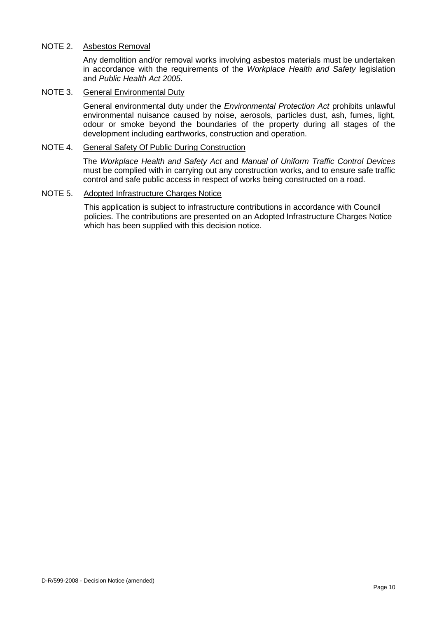## NOTE 2. Asbestos Removal

Any demolition and/or removal works involving asbestos materials must be undertaken in accordance with the requirements of the *Workplace Health and Safety* legislation and *Public Health Act 2005*.

## NOTE 3. General Environmental Duty

General environmental duty under the *Environmental Protection Act* prohibits unlawful environmental nuisance caused by noise, aerosols, particles dust, ash, fumes, light, odour or smoke beyond the boundaries of the property during all stages of the development including earthworks, construction and operation.

## NOTE 4. General Safety Of Public During Construction

The *Workplace Health and Safety Act* and *Manual of Uniform Traffic Control Devices* must be complied with in carrying out any construction works, and to ensure safe traffic control and safe public access in respect of works being constructed on a road.

### NOTE 5. Adopted Infrastructure Charges Notice

This application is subject to infrastructure contributions in accordance with Council policies. The contributions are presented on an Adopted Infrastructure Charges Notice which has been supplied with this decision notice.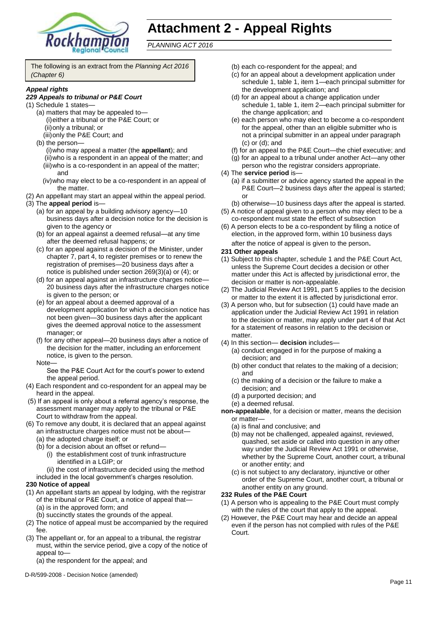

# **Attachment 2 - Appeal Rights**

*PLANNING ACT 2016*

The following is an extract from the *Planning Act 2016 (Chapter 6)*

#### *Appeal rights*

#### *229 Appeals to tribunal or P&E Court*

- (1) Schedule 1 states—
	- (a) matters that may be appealed to— (i)either a tribunal or the P&E Court; or (ii)only a tribunal; or
		- (iii)only the P&E Court; and
	- (b) the person—
		- (i)who may appeal a matter (the **appellant**); and (ii)who is a respondent in an appeal of the matter; and (iii)who is a co-respondent in an appeal of the matter; and
		- (iv)who may elect to be a co-respondent in an appeal of the matter.
- (2) An appellant may start an appeal within the appeal period.
- (3) The **appeal period** is—
	- (a) for an appeal by a building advisory agency—10 business days after a decision notice for the decision is given to the agency or
	- (b) for an appeal against a deemed refusal—at any time after the deemed refusal happens; or
	- (c) for an appeal against a decision of the Minister, under chapter 7, part 4, to register premises or to renew the registration of premises—20 business days after a notice is published under section 269(3)(a) or (4); or
	- (d) for an appeal against an infrastructure charges notice— 20 business days after the infrastructure charges notice is given to the person; or
	- (e) for an appeal about a deemed approval of a development application for which a decision notice has not been given—30 business days after the applicant gives the deemed approval notice to the assessment manager; or
	- (f) for any other appeal—20 business days after a notice of the decision for the matter, including an enforcement notice, is given to the person.
	- Note—

See the P&E Court Act for the court's power to extend the appeal period.

- (4) Each respondent and co-respondent for an appeal may be heard in the appeal.
- (5) If an appeal is only about a referral agency's response, the assessment manager may apply to the tribunal or P&E Court to withdraw from the appeal.
- (6) To remove any doubt, it is declared that an appeal against an infrastructure charges notice must not be about—
	- (a) the adopted charge itself; or
	- (b) for a decision about an offset or refund—
		- (i) the establishment cost of trunk infrastructure identified in a LGIP; or
		- (ii) the cost of infrastructure decided using the method
	- included in the local government's charges resolution.

#### **230 Notice of appeal**

- (1) An appellant starts an appeal by lodging, with the registrar of the tribunal or P&E Court, a notice of appeal that— (a) is in the approved form; and
	- (b) succinctly states the grounds of the appeal.
- (2) The notice of appeal must be accompanied by the required fee.
- (3) The appellant or, for an appeal to a tribunal, the registrar must, within the service period, give a copy of the notice of appeal to—

(a) the respondent for the appeal; and

D-R/599-2008 - Decision Notice (amended)

- (b) each co-respondent for the appeal; and
- (c) for an appeal about a development application under schedule 1, table 1, item 1—each principal submitter for the development application; and
- (d) for an appeal about a change application under schedule 1, table 1, item 2—each principal submitter for the change application; and
- (e) each person who may elect to become a co-respondent for the appeal, other than an eligible submitter who is not a principal submitter in an appeal under paragraph (c) or (d); and
- (f) for an appeal to the P&E Court—the chief executive; and
- (g) for an appeal to a tribunal under another Act—any other person who the registrar considers appropriate.
- (4) The **service period** is—
	- (a) if a submitter or advice agency started the appeal in the P&E Court-2 business days after the appeal is started; or

(b) otherwise—10 business days after the appeal is started.

- (5) A notice of appeal given to a person who may elect to be a co-respondent must state the effect of subsection
- (6) A person elects to be a co-respondent by filing a notice of election, in the approved form, within 10 business days after the notice of appeal is given to the person*.*

#### **231 Other appeals**

- (1) Subject to this chapter, schedule 1 and the P&E Court Act, unless the Supreme Court decides a decision or other matter under this Act is affected by jurisdictional error, the decision or matter is non-appealable.
- (2) The Judicial Review Act 1991, part 5 applies to the decision or matter to the extent it is affected by jurisdictional error.
- (3) A person who, but for subsection (1) could have made an application under the Judicial Review Act 1991 in relation to the decision or matter, may apply under part 4 of that Act for a statement of reasons in relation to the decision or matter
- (4) In this section— **decision** includes—
	- (a) conduct engaged in for the purpose of making a decision; and
	- (b) other conduct that relates to the making of a decision; and
	- (c) the making of a decision or the failure to make a decision; and
	- (d) a purported decision; and
	- (e) a deemed refusal.

**non-appealable**, for a decision or matter, means the decision or matter—

- (a) is final and conclusive; and
- (b) may not be challenged, appealed against, reviewed, quashed, set aside or called into question in any other way under the Judicial Review Act 1991 or otherwise, whether by the Supreme Court, another court, a tribunal or another entity; and
- (c) is not subject to any declaratory, injunctive or other order of the Supreme Court, another court, a tribunal or another entity on any ground.

#### **232 Rules of the P&E Court**

- (1) A person who is appealing to the P&E Court must comply with the rules of the court that apply to the appeal.
- (2) However, the P&E Court may hear and decide an appeal even if the person has not complied with rules of the P&E Court.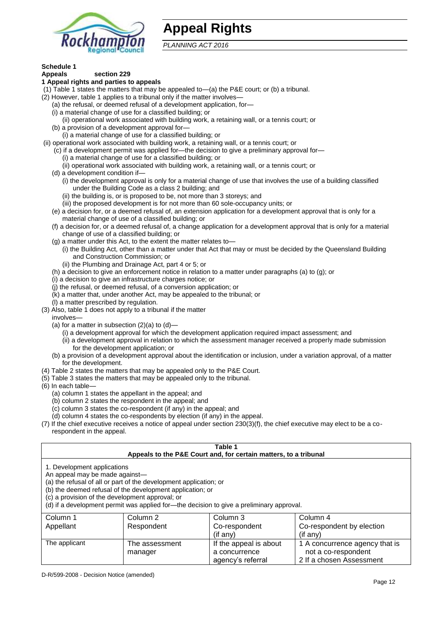

## **Appeal Rights**

*PLANNING ACT 2016*

## **Schedule 1**

#### **Appeals section 229 1 Appeal rights and parties to appeals**

- (1) Table 1 states the matters that may be appealed to—(a) the P&E court; or (b) a tribunal.
- (2) However, table 1 applies to a tribunal only if the matter involves-
	- (a) the refusal, or deemed refusal of a development application, for—
	- (i) a material change of use for a classified building; or
	- (ii) operational work associated with building work, a retaining wall, or a tennis court; or
	- (b) a provision of a development approval for—
	- (i) a material change of use for a classified building; or
- (ii) operational work associated with building work, a retaining wall, or a tennis court; or
	- (c) if a development permit was applied for—the decision to give a preliminary approval for—
		- (i) a material change of use for a classified building; or
		- (ii) operational work associated with building work, a retaining wall, or a tennis court; or
	- (d) a development condition if—
		- (i) the development approval is only for a material change of use that involves the use of a building classified under the Building Code as a class 2 building; and
		- (ii) the building is, or is proposed to be, not more than 3 storeys; and
		- (iii) the proposed development is for not more than 60 sole-occupancy units; or
	- (e) a decision for, or a deemed refusal of, an extension application for a development approval that is only for a material change of use of a classified building; or
	- (f) a decision for, or a deemed refusal of, a change application for a development approval that is only for a material change of use of a classified building; or
	- (g) a matter under this Act, to the extent the matter relates to—
		- (i) the Building Act, other than a matter under that Act that may or must be decided by the Queensland Building and Construction Commission; or
		- (ii) the Plumbing and Drainage Act, part 4 or 5; or
	- (h) a decision to give an enforcement notice in relation to a matter under paragraphs (a) to (g); or
	- (i) a decision to give an infrastructure charges notice; or
	- (j) the refusal, or deemed refusal, of a conversion application; or
	- (k) a matter that, under another Act, may be appealed to the tribunal; or
	- (l) a matter prescribed by regulation.
- (3) Also, table 1 does not apply to a tribunal if the matter
- involves—
	- (a) for a matter in subsection  $(2)(a)$  to  $(d)$ 
		- (i) a development approval for which the development application required impact assessment; and
		- (ii) a development approval in relation to which the assessment manager received a properly made submission for the development application; or
	- (b) a provision of a development approval about the identification or inclusion, under a variation approval, of a matter for the development.
- (4) Table 2 states the matters that may be appealed only to the P&E Court.
- (5) Table 3 states the matters that may be appealed only to the tribunal.
- (6) In each table—
	- (a) column 1 states the appellant in the appeal; and
	- (b) column 2 states the respondent in the appeal; and
	- (c) column 3 states the co-respondent (if any) in the appeal; and
	- (d) column 4 states the co-respondents by election (if any) in the appeal.
- (7) If the chief executive receives a notice of appeal under section 230(3)(f), the chief executive may elect to be a corespondent in the appeal.

| Table 1<br>Appeals to the P&E Court and, for certain matters, to a tribunal                                                                                                                                                                                                                                                                    |                            |                                                              |                                                                                   |  |  |
|------------------------------------------------------------------------------------------------------------------------------------------------------------------------------------------------------------------------------------------------------------------------------------------------------------------------------------------------|----------------------------|--------------------------------------------------------------|-----------------------------------------------------------------------------------|--|--|
| 1. Development applications<br>An appeal may be made against-<br>(a) the refusal of all or part of the development application; or<br>(b) the deemed refusal of the development application; or<br>(c) a provision of the development approval; or<br>(d) if a development permit was applied for—the decision to give a preliminary approval. |                            |                                                              |                                                                                   |  |  |
| Column 1<br>Appellant                                                                                                                                                                                                                                                                                                                          | Column 2<br>Respondent     | Column 3<br>Co-respondent                                    | Column 4<br>Co-respondent by election                                             |  |  |
|                                                                                                                                                                                                                                                                                                                                                | (if any)<br>$($ if any $)$ |                                                              |                                                                                   |  |  |
| The applicant                                                                                                                                                                                                                                                                                                                                  | The assessment<br>manager  | If the appeal is about<br>a concurrence<br>agency's referral | 1 A concurrence agency that is<br>not a co-respondent<br>2 If a chosen Assessment |  |  |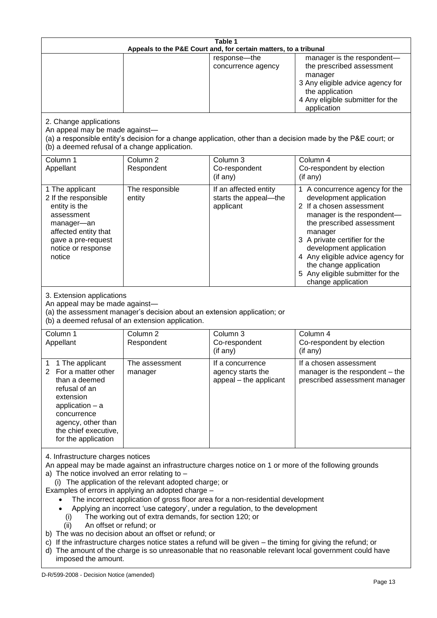| Table 1<br>Appeals to the P&E Court and, for certain matters, to a tribunal                                                                                                                                                                                                                                                                                                                                                                                                                                                                                                                                                                                                                                                                                                                                                                                                                 |                                                                                                                               |                                                                 |                                                                                                                                                                                                                                                                                                                                                 |  |
|---------------------------------------------------------------------------------------------------------------------------------------------------------------------------------------------------------------------------------------------------------------------------------------------------------------------------------------------------------------------------------------------------------------------------------------------------------------------------------------------------------------------------------------------------------------------------------------------------------------------------------------------------------------------------------------------------------------------------------------------------------------------------------------------------------------------------------------------------------------------------------------------|-------------------------------------------------------------------------------------------------------------------------------|-----------------------------------------------------------------|-------------------------------------------------------------------------------------------------------------------------------------------------------------------------------------------------------------------------------------------------------------------------------------------------------------------------------------------------|--|
|                                                                                                                                                                                                                                                                                                                                                                                                                                                                                                                                                                                                                                                                                                                                                                                                                                                                                             |                                                                                                                               | response-the<br>concurrence agency                              | manager is the respondent-<br>the prescribed assessment<br>manager<br>3 Any eligible advice agency for<br>the application<br>4 Any eligible submitter for the<br>application                                                                                                                                                                    |  |
| 2. Change applications<br>An appeal may be made against-<br>(b) a deemed refusal of a change application.                                                                                                                                                                                                                                                                                                                                                                                                                                                                                                                                                                                                                                                                                                                                                                                   |                                                                                                                               |                                                                 | (a) a responsible entity's decision for a change application, other than a decision made by the P&E court; or                                                                                                                                                                                                                                   |  |
| Column 1<br>Appellant                                                                                                                                                                                                                                                                                                                                                                                                                                                                                                                                                                                                                                                                                                                                                                                                                                                                       | Column <sub>2</sub><br>Respondent                                                                                             | Column 3<br>Co-respondent<br>(if any)                           | Column 4<br>Co-respondent by election<br>(if any)                                                                                                                                                                                                                                                                                               |  |
| 1 The applicant<br>2 If the responsible<br>entity is the<br>assessment<br>manager-an<br>affected entity that<br>gave a pre-request<br>notice or response<br>notice                                                                                                                                                                                                                                                                                                                                                                                                                                                                                                                                                                                                                                                                                                                          | The responsible<br>entity                                                                                                     | If an affected entity<br>starts the appeal-the<br>applicant     | 1 A concurrence agency for the<br>development application<br>2 If a chosen assessment<br>manager is the respondent-<br>the prescribed assessment<br>manager<br>3 A private certifier for the<br>development application<br>4 Any eligible advice agency for<br>the change application<br>5 Any eligible submitter for the<br>change application |  |
| 3. Extension applications<br>An appeal may be made against-                                                                                                                                                                                                                                                                                                                                                                                                                                                                                                                                                                                                                                                                                                                                                                                                                                 | (a) the assessment manager's decision about an extension application; or<br>(b) a deemed refusal of an extension application. |                                                                 |                                                                                                                                                                                                                                                                                                                                                 |  |
| Column 1<br>Appellant                                                                                                                                                                                                                                                                                                                                                                                                                                                                                                                                                                                                                                                                                                                                                                                                                                                                       | Column <sub>2</sub><br>Respondent                                                                                             | Column 3<br>Co-respondent<br>(if any)                           | Column 4<br>Co-respondent by election<br>(if any)                                                                                                                                                                                                                                                                                               |  |
| 1 1 The applicant<br>2 For a matter other<br>than a deemed<br>refusal of an<br>extension<br>application $-$ a<br>concurrence<br>agency, other than<br>the chief executive,<br>for the application                                                                                                                                                                                                                                                                                                                                                                                                                                                                                                                                                                                                                                                                                           | The assessment<br>manager                                                                                                     | If a concurrence<br>agency starts the<br>appeal - the applicant | If a chosen assessment<br>manager is the respondent - the<br>prescribed assessment manager                                                                                                                                                                                                                                                      |  |
| 4. Infrastructure charges notices<br>An appeal may be made against an infrastructure charges notice on 1 or more of the following grounds<br>a) The notice involved an error relating to $-$<br>(i) The application of the relevant adopted charge; or<br>Examples of errors in applying an adopted charge -<br>The incorrect application of gross floor area for a non-residential development<br>Applying an incorrect 'use category', under a regulation, to the development<br>The working out of extra demands, for section 120; or<br>(i)<br>An offset or refund; or<br>(ii)<br>b) The was no decision about an offset or refund; or<br>c) If the infrastructure charges notice states a refund will be given - the timing for giving the refund; or<br>d) The amount of the charge is so unreasonable that no reasonable relevant local government could have<br>imposed the amount. |                                                                                                                               |                                                                 |                                                                                                                                                                                                                                                                                                                                                 |  |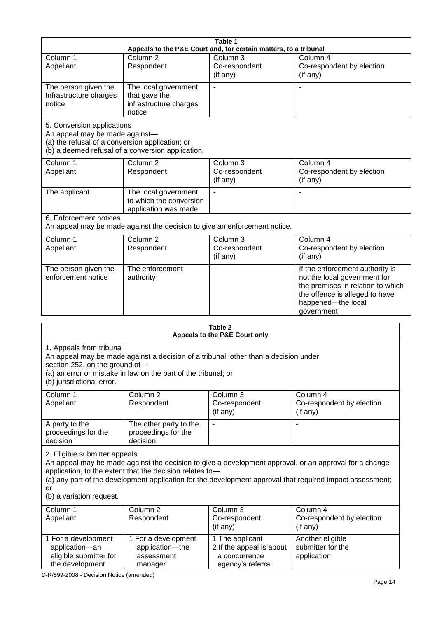| Table 1                                                                                                                                                                                                                                                                                                                                            |                                                                           |                                                                                   |                                                                                                                                                                            |  |
|----------------------------------------------------------------------------------------------------------------------------------------------------------------------------------------------------------------------------------------------------------------------------------------------------------------------------------------------------|---------------------------------------------------------------------------|-----------------------------------------------------------------------------------|----------------------------------------------------------------------------------------------------------------------------------------------------------------------------|--|
|                                                                                                                                                                                                                                                                                                                                                    |                                                                           | Appeals to the P&E Court and, for certain matters, to a tribunal                  |                                                                                                                                                                            |  |
| Column 1<br>Appellant                                                                                                                                                                                                                                                                                                                              | Column <sub>2</sub><br>Respondent                                         | Column 3<br>Co-respondent<br>(if any)                                             | Column 4<br>Co-respondent by election<br>(if any)                                                                                                                          |  |
| The person given the<br>Infrastructure charges<br>notice                                                                                                                                                                                                                                                                                           | The local government<br>that gave the<br>infrastructure charges<br>notice | $\overline{a}$                                                                    |                                                                                                                                                                            |  |
| 5. Conversion applications<br>An appeal may be made against-<br>(a) the refusal of a conversion application; or                                                                                                                                                                                                                                    | (b) a deemed refusal of a conversion application.                         |                                                                                   |                                                                                                                                                                            |  |
| Column 1<br>Appellant                                                                                                                                                                                                                                                                                                                              | Column <sub>2</sub><br>Respondent                                         | Column 3<br>Co-respondent<br>(if any)                                             | Column 4<br>Co-respondent by election<br>(if any)                                                                                                                          |  |
| The applicant                                                                                                                                                                                                                                                                                                                                      | The local government<br>to which the conversion<br>application was made   |                                                                                   |                                                                                                                                                                            |  |
| 6. Enforcement notices                                                                                                                                                                                                                                                                                                                             | An appeal may be made against the decision to give an enforcement notice. |                                                                                   |                                                                                                                                                                            |  |
| Column 1<br>Appellant                                                                                                                                                                                                                                                                                                                              | Column <sub>2</sub><br>Respondent                                         | Column 3<br>Co-respondent<br>(if any)                                             | Column 4<br>Co-respondent by election<br>(if any)                                                                                                                          |  |
| The person given the<br>enforcement notice                                                                                                                                                                                                                                                                                                         | The enforcement<br>authority                                              |                                                                                   | If the enforcement authority is<br>not the local government for<br>the premises in relation to which<br>the offence is alleged to have<br>happened-the local<br>government |  |
|                                                                                                                                                                                                                                                                                                                                                    |                                                                           | Table 2<br>Appeals to the P&E Court only                                          |                                                                                                                                                                            |  |
| 1. Appeals from tribunal<br>An appeal may be made against a decision of a tribunal, other than a decision under<br>section 252, on the ground of-<br>(a) an error or mistake in law on the part of the tribunal; or<br>(b) jurisdictional error.                                                                                                   |                                                                           |                                                                                   |                                                                                                                                                                            |  |
| Column 1<br>Appellant                                                                                                                                                                                                                                                                                                                              | Column 2<br>Respondent                                                    | Column 3<br>Co-respondent<br>(if any)                                             | Column 4<br>Co-respondent by election<br>(if any)                                                                                                                          |  |
| A party to the<br>proceedings for the<br>decision                                                                                                                                                                                                                                                                                                  | The other party to the<br>proceedings for the<br>decision                 |                                                                                   |                                                                                                                                                                            |  |
| 2. Eligible submitter appeals<br>An appeal may be made against the decision to give a development approval, or an approval for a change<br>application, to the extent that the decision relates to-<br>(a) any part of the development application for the development approval that required impact assessment;<br>or<br>(b) a variation request. |                                                                           |                                                                                   |                                                                                                                                                                            |  |
| Column 1<br>Appellant                                                                                                                                                                                                                                                                                                                              | Column 2<br>Respondent                                                    | Column 3<br>Co-respondent<br>(if any)                                             | Column 4<br>Co-respondent by election<br>(if any)                                                                                                                          |  |
| 1 For a development<br>application-an<br>eligible submitter for<br>the development                                                                                                                                                                                                                                                                 | 1 For a development<br>application-the<br>assessment<br>manager           | 1 The applicant<br>2 If the appeal is about<br>a concurrence<br>agency's referral | Another eligible<br>submitter for the<br>application                                                                                                                       |  |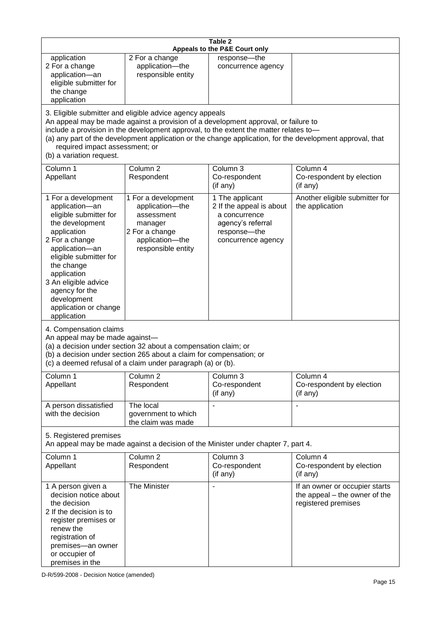| Table 2<br>Appeals to the P&E Court only                                                                                                                                                                                                                                                      |                                                                                                                                                                                                                                                                                                                                                                                        |                                                                                                                         |                                                                                        |  |  |
|-----------------------------------------------------------------------------------------------------------------------------------------------------------------------------------------------------------------------------------------------------------------------------------------------|----------------------------------------------------------------------------------------------------------------------------------------------------------------------------------------------------------------------------------------------------------------------------------------------------------------------------------------------------------------------------------------|-------------------------------------------------------------------------------------------------------------------------|----------------------------------------------------------------------------------------|--|--|
| application<br>2 For a change<br>application-an<br>eligible submitter for<br>the change<br>application                                                                                                                                                                                        | 2 For a change<br>application-the<br>responsible entity                                                                                                                                                                                                                                                                                                                                | response-the<br>concurrence agency                                                                                      |                                                                                        |  |  |
| (b) a variation request.                                                                                                                                                                                                                                                                      | 3. Eligible submitter and eligible advice agency appeals<br>An appeal may be made against a provision of a development approval, or failure to<br>include a provision in the development approval, to the extent the matter relates to-<br>(a) any part of the development application or the change application, for the development approval, that<br>required impact assessment; or |                                                                                                                         |                                                                                        |  |  |
| Column 1<br>Appellant                                                                                                                                                                                                                                                                         | Column <sub>2</sub><br>Respondent                                                                                                                                                                                                                                                                                                                                                      | Column 3<br>Co-respondent<br>(if any)                                                                                   | Column 4<br>Co-respondent by election<br>(if any)                                      |  |  |
| 1 For a development<br>application-an<br>eligible submitter for<br>the development<br>application<br>2 For a change<br>application-an<br>eligible submitter for<br>the change<br>application<br>3 An eligible advice<br>agency for the<br>development<br>application or change<br>application | 1 For a development<br>application-the<br>assessment<br>manager<br>2 For a change<br>application-the<br>responsible entity                                                                                                                                                                                                                                                             | 1 The applicant<br>2 If the appeal is about<br>a concurrence<br>agency's referral<br>response-the<br>concurrence agency | Another eligible submitter for<br>the application                                      |  |  |
| 4. Compensation claims<br>An appeal may be made against-                                                                                                                                                                                                                                      | (a) a decision under section 32 about a compensation claim; or<br>(b) a decision under section 265 about a claim for compensation; or<br>(c) a deemed refusal of a claim under paragraph (a) or (b).                                                                                                                                                                                   |                                                                                                                         |                                                                                        |  |  |
| Column 1<br>Appellant                                                                                                                                                                                                                                                                         | Column <sub>2</sub><br>Respondent                                                                                                                                                                                                                                                                                                                                                      | Column 3<br>Co-respondent<br>(if any)                                                                                   | Column 4<br>Co-respondent by election<br>(if any)                                      |  |  |
| A person dissatisfied<br>with the decision                                                                                                                                                                                                                                                    | The local<br>government to which<br>the claim was made                                                                                                                                                                                                                                                                                                                                 |                                                                                                                         |                                                                                        |  |  |
| 5. Registered premises<br>An appeal may be made against a decision of the Minister under chapter 7, part 4.                                                                                                                                                                                   |                                                                                                                                                                                                                                                                                                                                                                                        |                                                                                                                         |                                                                                        |  |  |
| Column 1<br>Appellant                                                                                                                                                                                                                                                                         | Column <sub>2</sub><br>Respondent                                                                                                                                                                                                                                                                                                                                                      | Column 3<br>Co-respondent<br>(if any)                                                                                   | Column 4<br>Co-respondent by election<br>(if any)                                      |  |  |
| 1 A person given a<br>decision notice about<br>the decision<br>2 If the decision is to<br>register premises or<br>renew the<br>registration of<br>premises-an owner<br>or occupier of<br>premises in the                                                                                      | The Minister                                                                                                                                                                                                                                                                                                                                                                           |                                                                                                                         | If an owner or occupier starts<br>the appeal – the owner of the<br>registered premises |  |  |

D-R/599-2008 - Decision Notice (amended)